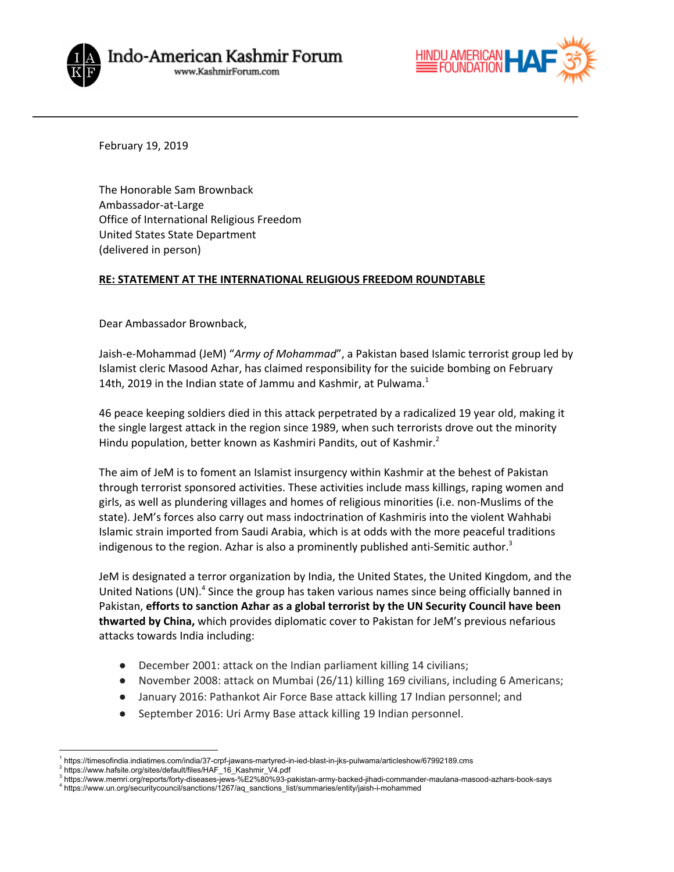



February 19, 2019

The Honorable Sam Brownback Ambassador-at-Large Office of International Religious Freedom United States State Department (delivered in person)

## **RE: STATEMENT AT THE INTERNATIONAL RELIGIOUS FREEDOM ROUNDTABLE**

Dear Ambassador Brownback,

Jaish-e-Mohammad (JeM) "*Army of Mohammad*", a Pakistan based Islamic terrorist group led by Islamist cleric Masood Azhar, has claimed responsibility for the suicide bombing on February 14th, 2019 in the Indian state of Jammu and Kashmir, at Pulwama.<sup>1</sup>

46 peace keeping soldiers died in this attack perpetrated by a radicalized 19 year old, making it the single largest attack in the region since 1989, when such terrorists drove out the minority Hindu population, better known as Kashmiri Pandits, out of Kashmir.<sup>2</sup>

The aim of JeM is to foment an Islamist insurgency within Kashmir at the behest of Pakistan through terrorist sponsored activities. These activities include mass killings, raping women and girls, as well as plundering villages and homes of religious minorities (i.e. non-Muslims of the state). JeM's forces also carry out mass indoctrination of Kashmiris into the violent Wahhabi Islamic strain imported from Saudi Arabia, which is at odds with the more peaceful traditions indigenous to the region. Azhar is also a prominently published anti-Semitic author.<sup>3</sup>

JeM is designated a terror organization by India, the United States, the United Kingdom, and the United Nations (UN).<sup>4</sup> Since the group has taken various names since being officially banned in Pakistan, **efforts to sanction Azhar as a global terrorist by the UN Security Council have been thwarted by China,** which provides diplomatic cover to Pakistan for JeM's previous nefarious attacks towards India including:

- December 2001: attack on the Indian parliament killing 14 civilians;
- November 2008: attack on Mumbai (26/11) killing 169 civilians, including 6 Americans;
- January 2016: Pathankot Air Force Base attack killing 17 Indian personnel; and
- September 2016: Uri Army Base attack killing 19 Indian personnel.

<sup>1</sup> https://timesofindia.indiatimes.com/india/37-crpf-jawans-martyred-in-ied-blast-in-jks-pulwama/articleshow/67992189.cms

<sup>2</sup> https://www.hafsite.org/sites/default/files/HAF\_16\_Kashmir\_V4.pdf

<sup>3</sup> https://www.memri.org/reports/forty-diseases-jews-%E2%80%93-pakistan-army-backed-jihadi-commander-maulana-masood-azhars-book-says <sup>4</sup> https://www.un.org/securitycouncil/sanctions/1267/aq\_sanctions\_list/summaries/entity/jaish-i-mohammed